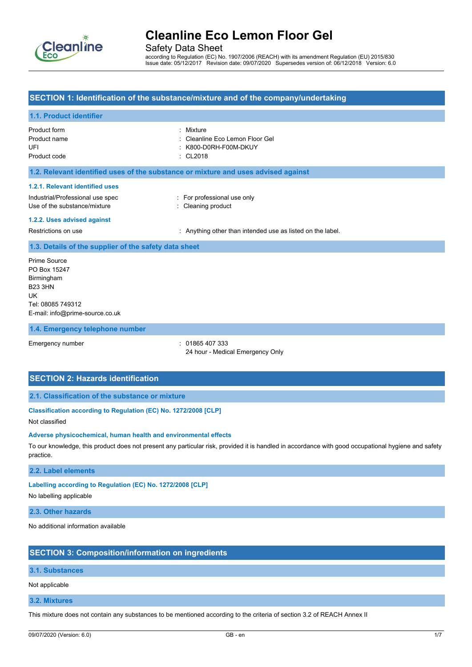

Safety Data Sheet

according to Regulation (EC) No. 1907/2006 (REACH) with its amendment Regulation (EU) 2015/830 Issue date: 05/12/2017 Revision date: 09/07/2020 Supersedes version of: 06/12/2018 Version: 6.0

### **SECTION 1: Identification of the substance/mixture and of the company/undertaking**

## **1.1. Product identifier**

| Product form<br>Product name<br>UFI<br>Product code                                                                                | Mixture<br>Cleanline Eco Lemon Floor Gel<br>K800-D0RH-F00M-DKUY<br>CL2018 |
|------------------------------------------------------------------------------------------------------------------------------------|---------------------------------------------------------------------------|
| 1.2. Relevant identified uses of the substance or mixture and uses advised against                                                 |                                                                           |
| 1.2.1. Relevant identified uses<br>Industrial/Professional use spec<br>Use of the substance/mixture<br>1.2.2. Uses advised against | : For professional use only<br>: Cleaning product                         |
| Restrictions on use                                                                                                                | : Anything other than intended use as listed on the label.                |
| 1.3. Details of the supplier of the safety data sheet                                                                              |                                                                           |
| Prime Source<br>PO Box 15247<br>Birmingham<br><b>B23 3HN</b><br>UK<br>Tel: 08085 749312<br>E-mail: info@prime-source.co.uk         |                                                                           |
| 1.4. Emergency telephone number                                                                                                    |                                                                           |

Emergency number : 01865 407 333 24 hour - Medical Emergency Only

## **SECTION 2: Hazards identification**

#### **2.1. Classification of the substance or mixture**

## **Classification according to Regulation (EC) No. 1272/2008 [CLP]**

#### Not classified

#### **Adverse physicochemical, human health and environmental effects**

To our knowledge, this product does not present any particular risk, provided it is handled in accordance with good occupational hygiene and safety practice.

#### **2.2. Label elements**

#### **Labelling according to Regulation (EC) No. 1272/2008 [CLP]**

No labelling applicable

#### **2.3. Other hazards**

No additional information available

### **SECTION 3: Composition/information on ingredients**

### **3.1. Substances**

Not applicable

#### **3.2. Mixtures**

This mixture does not contain any substances to be mentioned according to the criteria of section 3.2 of REACH Annex II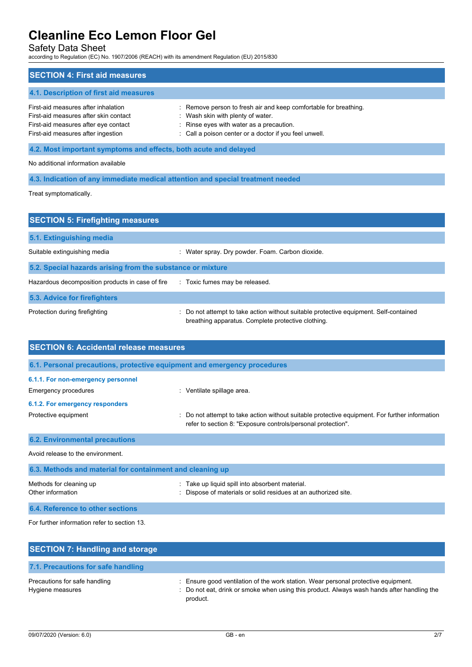Safety Data Sheet

according to Regulation (EC) No. 1907/2006 (REACH) with its amendment Regulation (EU) 2015/830

| <b>SECTION 4: First aid measures</b>                                                                                                                       |                                                                                                                                                                                                             |  |
|------------------------------------------------------------------------------------------------------------------------------------------------------------|-------------------------------------------------------------------------------------------------------------------------------------------------------------------------------------------------------------|--|
| 4.1. Description of first aid measures                                                                                                                     |                                                                                                                                                                                                             |  |
| First-aid measures after inhalation<br>First-aid measures after skin contact<br>First-aid measures after eye contact<br>First-aid measures after ingestion | : Remove person to fresh air and keep comfortable for breathing.<br>: Wash skin with plenty of water.<br>: Rinse eyes with water as a precaution.<br>: Call a poison center or a doctor if you feel unwell. |  |
| 4.2. Most important symptoms and effects, both acute and delayed                                                                                           |                                                                                                                                                                                                             |  |
| No additional information available                                                                                                                        |                                                                                                                                                                                                             |  |

**4.3. Indication of any immediate medical attention and special treatment needed**

Treat symptomatically.

| <b>SECTION 5: Firefighting measures</b>                    |                                                                                                                                             |  |
|------------------------------------------------------------|---------------------------------------------------------------------------------------------------------------------------------------------|--|
| 5.1. Extinguishing media                                   |                                                                                                                                             |  |
| Suitable extinguishing media                               | Water spray. Dry powder. Foam. Carbon dioxide.                                                                                              |  |
| 5.2. Special hazards arising from the substance or mixture |                                                                                                                                             |  |
| Hazardous decomposition products in case of fire           | : Toxic fumes may be released.                                                                                                              |  |
| 5.3. Advice for firefighters                               |                                                                                                                                             |  |
| Protection during firefighting                             | : Do not attempt to take action without suitable protective equipment. Self-contained<br>breathing apparatus. Complete protective clothing. |  |

| <b>SECTION 6: Accidental release measures</b>                            |                                                                                                                                                              |  |
|--------------------------------------------------------------------------|--------------------------------------------------------------------------------------------------------------------------------------------------------------|--|
| 6.1. Personal precautions, protective equipment and emergency procedures |                                                                                                                                                              |  |
| 6.1.1. For non-emergency personnel<br>Emergency procedures               | : Ventilate spillage area.                                                                                                                                   |  |
| 6.1.2. For emergency responders<br>Protective equipment                  | Do not attempt to take action without suitable protective equipment. For further information<br>refer to section 8: "Exposure controls/personal protection". |  |
| <b>6.2. Environmental precautions</b>                                    |                                                                                                                                                              |  |
| Avoid release to the environment                                         |                                                                                                                                                              |  |
| 6.3. Methods and material for containment and cleaning up                |                                                                                                                                                              |  |
| Methods for cleaning up<br>Other information                             | Take up liquid spill into absorbent material.<br>Dispose of materials or solid residues at an authorized site.                                               |  |

**6.4. Reference to other sections** For further information refer to section 13.

| <b>SECTION 7: Handling and storage</b>            |                                                                                                                                                                                              |
|---------------------------------------------------|----------------------------------------------------------------------------------------------------------------------------------------------------------------------------------------------|
| 7.1. Precautions for safe handling                |                                                                                                                                                                                              |
| Precautions for safe handling<br>Hygiene measures | : Ensure good ventilation of the work station. Wear personal protective equipment.<br>: Do not eat, drink or smoke when using this product. Always wash hands after handling the<br>product. |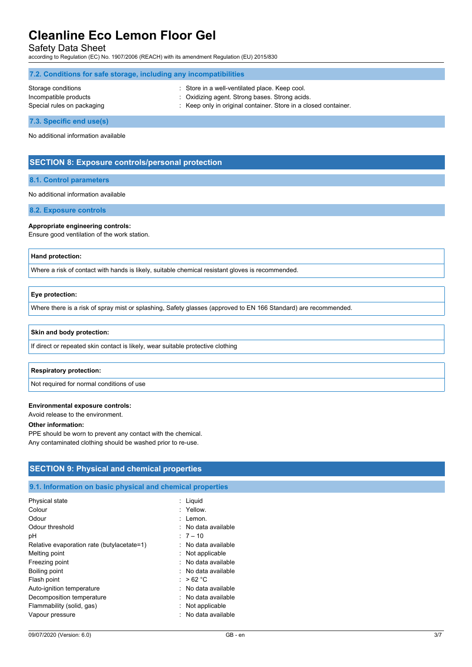Safety Data Sheet

according to Regulation (EC) No. 1907/2006 (REACH) with its amendment Regulation (EU) 2015/830

| 7.2. Conditions for safe storage, including any incompatibilities |                                                                                                  |  |  |
|-------------------------------------------------------------------|--------------------------------------------------------------------------------------------------|--|--|
| Storage conditions<br>Incompatible products                       | : Store in a well-ventilated place. Keep cool.<br>: Oxidizing agent. Strong bases. Strong acids. |  |  |
| Special rules on packaging                                        | : Keep only in original container. Store in a closed container.                                  |  |  |

**7.3. Specific end use(s)**

No additional information available

## **SECTION 8: Exposure controls/personal protection**

#### **8.1. Control parameters**

No additional information available

**8.2. Exposure controls**

#### **Appropriate engineering controls:**

Ensure good ventilation of the work station.

### **Hand protection:**

Where a risk of contact with hands is likely, suitable chemical resistant gloves is recommended.

#### **Eye protection:**

Where there is a risk of spray mist or splashing, Safety glasses (approved to EN 166 Standard) are recommended.

#### **Skin and body protection:**

If direct or repeated skin contact is likely, wear suitable protective clothing

#### **Respiratory protection:**

Not required for normal conditions of use

#### **Environmental exposure controls:**

Avoid release to the environment.

#### **Other information:**

PPE should be worn to prevent any contact with the chemical. Any contaminated clothing should be washed prior to re-use.

## **SECTION 9: Physical and chemical properties**

#### **9.1. Information on basic physical and chemical properties**

| Physical state                             | : Liquid              |
|--------------------------------------------|-----------------------|
| Colour                                     | : Yellow.             |
| Odour                                      | : Lemon.              |
| Odour threshold                            | $:$ No data available |
| рH                                         | $:7-10$               |
| Relative evaporation rate (butylacetate=1) | : No data available   |
| Melting point                              | : Not applicable      |
| Freezing point                             | : No data available   |
| Boiling point                              | : No data available   |
| Flash point                                | : $>62 °C$            |
| Auto-ignition temperature                  | : No data available   |
| Decomposition temperature                  | : No data available   |
| Flammability (solid, gas)                  | : Not applicable      |
| Vapour pressure                            | No data available     |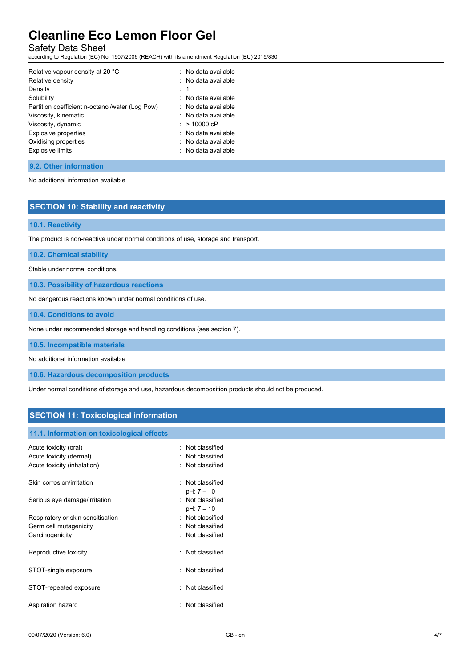Safety Data Sheet

according to Regulation (EC) No. 1907/2006 (REACH) with its amendment Regulation (EU) 2015/830

| Relative vapour density at 20 °C                | : No data available   |
|-------------------------------------------------|-----------------------|
| Relative density                                | : No data available   |
| Density                                         | $\cdot$ 1             |
| Solubility                                      | $:$ No data available |
| Partition coefficient n-octanol/water (Log Pow) | : No data available   |
| Viscosity, kinematic                            | : No data available   |
| Viscosity, dynamic                              | $: > 10000$ cP        |
| <b>Explosive properties</b>                     | $:$ No data available |
| Oxidising properties                            | : No data available   |
| <b>Explosive limits</b>                         | : No data available   |

### **9.2. Other information**

No additional information available

# **SECTION 10: Stability and reactivity**

#### **10.1. Reactivity**

The product is non-reactive under normal conditions of use, storage and transport.

**10.2. Chemical stability**

Stable under normal conditions.

**10.3. Possibility of hazardous reactions**

No dangerous reactions known under normal conditions of use.

**10.4. Conditions to avoid**

None under recommended storage and handling conditions (see section 7).

**10.5. Incompatible materials**

No additional information available

**10.6. Hazardous decomposition products**

Under normal conditions of storage and use, hazardous decomposition products should not be produced.

### **SECTION 11: Toxicological information**

#### **11.1. Information on toxicological effects**

| Acute toxicity (oral)<br>Acute toxicity (dermal)<br>Acute toxicity (inhalation) | Not classified<br>Not classified<br>Not classified |
|---------------------------------------------------------------------------------|----------------------------------------------------|
| Skin corrosion/irritation                                                       | Not classified<br>٠<br>$pH: 7 - 10$                |
| Serious eye damage/irritation                                                   | : Not classified<br>pH: 7 - 10                     |
| Respiratory or skin sensitisation                                               | Not classified                                     |
| Germ cell mutagenicity                                                          | Not classified                                     |
| Carcinogenicity                                                                 | Not classified                                     |
| Reproductive toxicity                                                           | Not classified                                     |
| STOT-single exposure                                                            | Not classified                                     |
| STOT-repeated exposure                                                          | Not classified                                     |
| Aspiration hazard                                                               | Not classified                                     |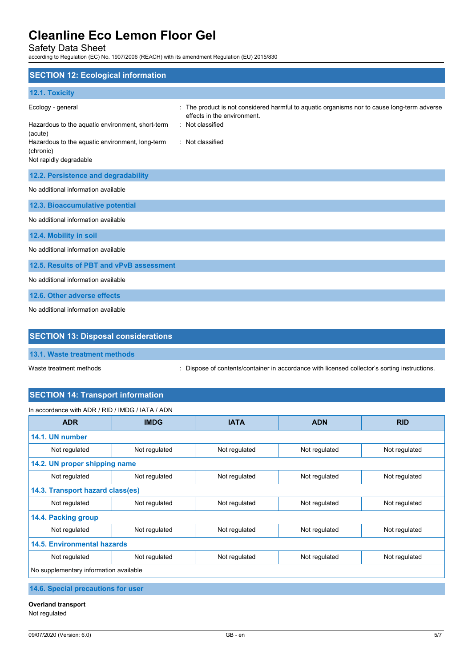Safety Data Sheet

according to Regulation (EC) No. 1907/2006 (REACH) with its amendment Regulation (EU) 2015/830

| <b>SECTION 12: Ecological information</b>                                                                                                                                  |                                                                                                                                                                  |
|----------------------------------------------------------------------------------------------------------------------------------------------------------------------------|------------------------------------------------------------------------------------------------------------------------------------------------------------------|
| 12.1. Toxicity                                                                                                                                                             |                                                                                                                                                                  |
| Ecology - general<br>Hazardous to the aquatic environment, short-term<br>(acute)<br>Hazardous to the aquatic environment, long-term<br>(chronic)<br>Not rapidly degradable | The product is not considered harmful to aquatic organisms nor to cause long-term adverse<br>effects in the environment.<br>: Not classified<br>: Not classified |
| 12.2. Persistence and degradability                                                                                                                                        |                                                                                                                                                                  |
| No additional information available                                                                                                                                        |                                                                                                                                                                  |
| 12.3. Bioaccumulative potential                                                                                                                                            |                                                                                                                                                                  |
| No additional information available                                                                                                                                        |                                                                                                                                                                  |
| 12.4. Mobility in soil                                                                                                                                                     |                                                                                                                                                                  |
| No additional information available                                                                                                                                        |                                                                                                                                                                  |
| 12.5. Results of PBT and vPvB assessment                                                                                                                                   |                                                                                                                                                                  |
| No additional information available                                                                                                                                        |                                                                                                                                                                  |
| 12.6. Other adverse effects                                                                                                                                                |                                                                                                                                                                  |
| No additional information available                                                                                                                                        |                                                                                                                                                                  |

## **SECTION 13: Disposal considerations**

**13.1. Waste treatment methods**

Waste treatment methods : Dispose of contents/container in accordance with licensed collector's sorting instructions.

# **SECTION 14: Transport information**

| In accordance with ADR / RID / IMDG / IATA / ADN |               |               |               |               |
|--------------------------------------------------|---------------|---------------|---------------|---------------|
| <b>ADR</b>                                       | <b>IMDG</b>   | <b>IATA</b>   | <b>ADN</b>    | <b>RID</b>    |
| 14.1. UN number                                  |               |               |               |               |
| Not regulated                                    | Not regulated | Not regulated | Not regulated | Not regulated |
| 14.2. UN proper shipping name                    |               |               |               |               |
| Not regulated                                    | Not regulated | Not regulated | Not regulated | Not regulated |
| 14.3. Transport hazard class(es)                 |               |               |               |               |
| Not regulated                                    | Not regulated | Not regulated | Not regulated | Not regulated |
| 14.4. Packing group                              |               |               |               |               |
| Not regulated                                    | Not regulated | Not regulated | Not regulated | Not regulated |
| <b>14.5. Environmental hazards</b>               |               |               |               |               |
| Not regulated                                    | Not regulated | Not regulated | Not regulated | Not regulated |
| No supplementary information available           |               |               |               |               |

**14.6. Special precautions for user**

**Overland transport** Not regulated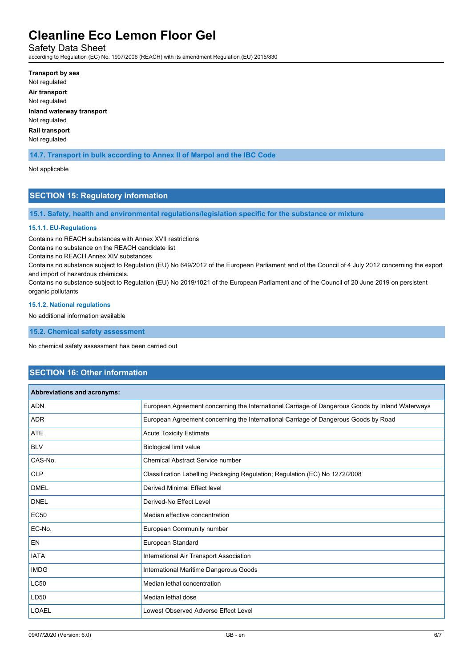Safety Data Sheet

according to Regulation (EC) No. 1907/2006 (REACH) with its amendment Regulation (EU) 2015/830

**Transport by sea** Not regulated **Air transport** Not regulated **Inland waterway transport** Not regulated **Rail transport** Not regulated

**14.7. Transport in bulk according to Annex II of Marpol and the IBC Code**

Not applicable

## **SECTION 15: Regulatory information**

**15.1. Safety, health and environmental regulations/legislation specific for the substance or mixture**

#### **15.1.1. EU-Regulations**

Contains no REACH substances with Annex XVII restrictions

Contains no substance on the REACH candidate list

Contains no REACH Annex XIV substances

Contains no substance subject to Regulation (EU) No 649/2012 of the European Parliament and of the Council of 4 July 2012 concerning the export and import of hazardous chemicals.

Contains no substance subject to Regulation (EU) No 2019/1021 of the European Parliament and of the Council of 20 June 2019 on persistent organic pollutants

#### **15.1.2. National regulations**

No additional information available

**15.2. Chemical safety assessment**

No chemical safety assessment has been carried out

### **SECTION 16: Other information**

| Abbreviations and acronyms: |                                                                                                 |
|-----------------------------|-------------------------------------------------------------------------------------------------|
| <b>ADN</b>                  | European Agreement concerning the International Carriage of Dangerous Goods by Inland Waterways |
| <b>ADR</b>                  | European Agreement concerning the International Carriage of Dangerous Goods by Road             |
| <b>ATE</b>                  | <b>Acute Toxicity Estimate</b>                                                                  |
| <b>BLV</b>                  | Biological limit value                                                                          |
| CAS-No.                     | <b>Chemical Abstract Service number</b>                                                         |
| <b>CLP</b>                  | Classification Labelling Packaging Regulation; Regulation (EC) No 1272/2008                     |
| <b>DMEL</b>                 | Derived Minimal Effect level                                                                    |
| <b>DNEL</b>                 | Derived-No Effect Level                                                                         |
| <b>EC50</b>                 | Median effective concentration                                                                  |
| EC-No.                      | European Community number                                                                       |
| <b>EN</b>                   | European Standard                                                                               |
| <b>IATA</b>                 | International Air Transport Association                                                         |
| <b>IMDG</b>                 | International Maritime Dangerous Goods                                                          |
| <b>LC50</b>                 | Median lethal concentration                                                                     |
| LD50                        | Median lethal dose                                                                              |
| <b>LOAEL</b>                | Lowest Observed Adverse Effect Level                                                            |